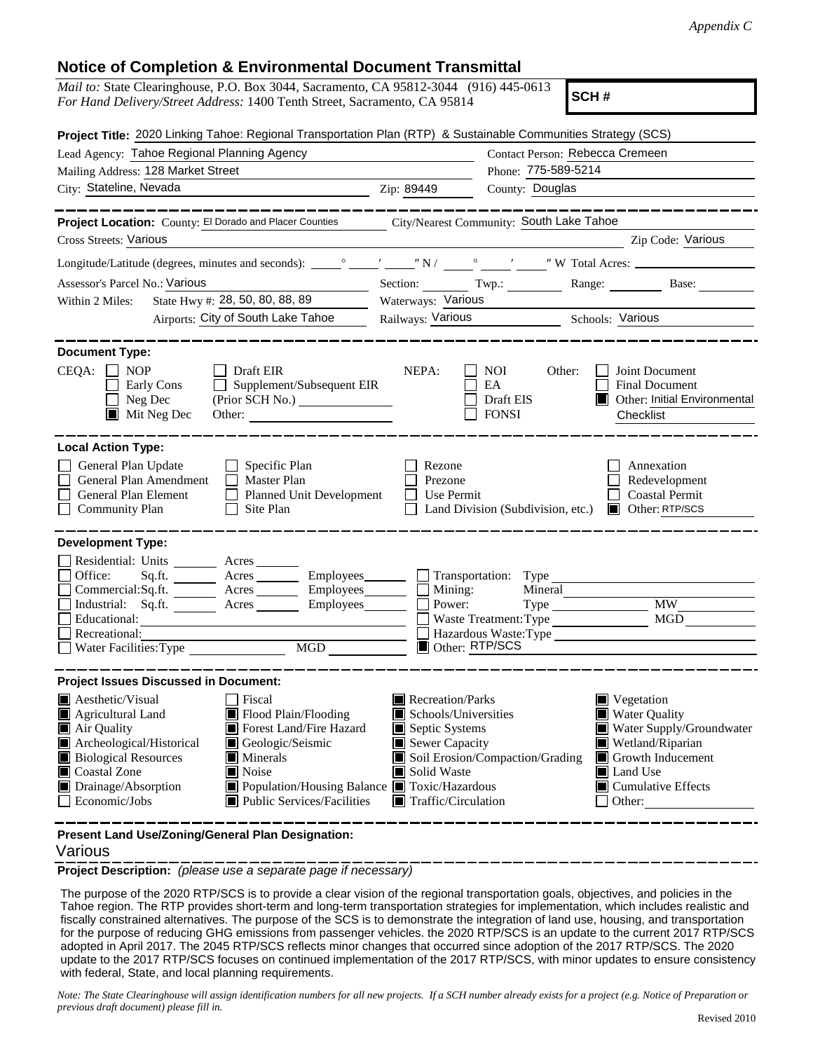## **Notice of Completion & Environmental Document Transmittal**

| <i>Mail to:</i> State Clearinghouse, P.O. Box 3044, Sacramento, CA 95812-3044 (916) 445-0613<br>SCH#<br>For Hand Delivery/Street Address: 1400 Tenth Street, Sacramento, CA 95814                                                                                                                                                                                                                  |                                                                                                                    |                                                                                   |                                                                                                                                                                           |  |  |  |
|----------------------------------------------------------------------------------------------------------------------------------------------------------------------------------------------------------------------------------------------------------------------------------------------------------------------------------------------------------------------------------------------------|--------------------------------------------------------------------------------------------------------------------|-----------------------------------------------------------------------------------|---------------------------------------------------------------------------------------------------------------------------------------------------------------------------|--|--|--|
| Project Title: 2020 Linking Tahoe: Regional Transportation Plan (RTP) & Sustainable Communities Strategy (SCS)                                                                                                                                                                                                                                                                                     |                                                                                                                    |                                                                                   |                                                                                                                                                                           |  |  |  |
| Contact Person: Rebecca Cremeen<br>Lead Agency: Tahoe Regional Planning Agency                                                                                                                                                                                                                                                                                                                     |                                                                                                                    |                                                                                   |                                                                                                                                                                           |  |  |  |
| Mailing Address: 128 Market Street                                                                                                                                                                                                                                                                                                                                                                 | Phone: 775-589-5214                                                                                                |                                                                                   |                                                                                                                                                                           |  |  |  |
| City: Stateline, Nevada                                                                                                                                                                                                                                                                                                                                                                            | Zip: 89449                                                                                                         | County: Douglas                                                                   |                                                                                                                                                                           |  |  |  |
| Project Location: County: El Dorado and Placer Counties                                                                                                                                                                                                                                                                                                                                            | City/Nearest Community: South Lake Tahoe                                                                           |                                                                                   |                                                                                                                                                                           |  |  |  |
| <b>Cross Streets: Various</b>                                                                                                                                                                                                                                                                                                                                                                      |                                                                                                                    |                                                                                   | Zip Code: Various                                                                                                                                                         |  |  |  |
|                                                                                                                                                                                                                                                                                                                                                                                                    |                                                                                                                    |                                                                                   |                                                                                                                                                                           |  |  |  |
| Assessor's Parcel No.: Various                                                                                                                                                                                                                                                                                                                                                                     |                                                                                                                    |                                                                                   | Section: Twp.: Range: Base:                                                                                                                                               |  |  |  |
| State Hwy #: 28, 50, 80, 88, 89<br>Within 2 Miles:                                                                                                                                                                                                                                                                                                                                                 | Waterways: Various                                                                                                 |                                                                                   |                                                                                                                                                                           |  |  |  |
| Airports: City of South Lake Tahoe                                                                                                                                                                                                                                                                                                                                                                 | Railways: Various                                                                                                  | <u> 1989 - Jan Stein Berlin, amerikansk politiker</u>                             | Schools: Various                                                                                                                                                          |  |  |  |
|                                                                                                                                                                                                                                                                                                                                                                                                    |                                                                                                                    |                                                                                   |                                                                                                                                                                           |  |  |  |
| <b>Document Type:</b><br>$CEQA: \Box NOP$<br>$\Box$ Draft EIR<br>$\Box$ Supplement/Subsequent EIR<br>Early Cons<br>Neg Dec<br>$\blacksquare$ Mit Neg Dec<br>Other:                                                                                                                                                                                                                                 | NEPA:                                                                                                              | NOI<br>Other:<br>EA<br>Draft EIS<br><b>FONSI</b>                                  | Joint Document<br><b>Final Document</b><br>Other: Initial Environmental<br>Checklist                                                                                      |  |  |  |
| <b>Local Action Type:</b><br>General Plan Update<br>$\Box$ Specific Plan<br>General Plan Amendment<br>$\Box$ Master Plan<br>General Plan Element<br>Planned Unit Development<br><b>Community Plan</b><br>Site Plan                                                                                                                                                                                 | Rezone<br>Prezone<br>Use Permit                                                                                    |                                                                                   | Annexation<br>Redevelopment<br><b>Coastal Permit</b><br>Land Division (Subdivision, etc.) <b>I</b> Other: RTP/SCS                                                         |  |  |  |
| <b>Development Type:</b><br>Residential: Units ________ Acres _______<br>Sq.ft. ________ Acres _________ Employees________<br>Office:<br>Commercial:Sq.ft. ________ Acres _________ Employees________ $\square$<br>Industrial: Sq.ft. _______ Acres ________ Employees _______ $\square$<br>Educational:<br>Recreational:                                                                          | Mining:<br>Power:                                                                                                  | Transportation: Type<br>Mineral<br>Waste Treatment: Type<br>Hazardous Waste: Type | <b>MW</b><br>MGD                                                                                                                                                          |  |  |  |
| <b>MGD</b><br>Water Facilities: Type                                                                                                                                                                                                                                                                                                                                                               | Other: RTP/SCS                                                                                                     |                                                                                   |                                                                                                                                                                           |  |  |  |
| <b>Project Issues Discussed in Document:</b>                                                                                                                                                                                                                                                                                                                                                       |                                                                                                                    |                                                                                   |                                                                                                                                                                           |  |  |  |
| Aesthetic/Visual<br>Fiscal<br>Agricultural Land<br>Flood Plain/Flooding<br>Forest Land/Fire Hazard<br>$\blacksquare$ Air Quality<br>Archeological/Historical<br>Geologic/Seismic<br><b>Biological Resources</b><br>$\blacksquare$ Minerals<br><b>Coastal Zone</b><br>Noise<br>■ Population/Housing Balance ■ Toxic/Hazardous<br>Drainage/Absorption<br>Economic/Jobs<br>Public Services/Facilities | Recreation/Parks<br>Schools/Universities<br>Septic Systems<br>Sewer Capacity<br>Solid Waste<br>Traffic/Circulation | Soil Erosion/Compaction/Grading                                                   | $\blacksquare$ Vegetation<br><b>Water Quality</b><br>Water Supply/Groundwater<br>Wetland/Riparian<br>Growth Inducement<br>Land Use<br>$\Box$ Cumulative Effects<br>Other: |  |  |  |
| Present Land Use/Zoning/General Plan Designation:                                                                                                                                                                                                                                                                                                                                                  |                                                                                                                    |                                                                                   |                                                                                                                                                                           |  |  |  |

## Various

**Project Description:** *(please use a separate page if necessary)*

 The purpose of the 2020 RTP/SCS is to provide a clear vision of the regional transportation goals, objectives, and policies in the Tahoe region. The RTP provides short-term and long-term transportation strategies for implementation, which includes realistic and fiscally constrained alternatives. The purpose of the SCS is to demonstrate the integration of land use, housing, and transportation for the purpose of reducing GHG emissions from passenger vehicles. the 2020 RTP/SCS is an update to the current 2017 RTP/SCS adopted in April 2017. The 2045 RTP/SCS reflects minor changes that occurred since adoption of the 2017 RTP/SCS. The 2020 update to the 2017 RTP/SCS focuses on continued implementation of the 2017 RTP/SCS, with minor updates to ensure consistency with federal, State, and local planning requirements.

*Note: The State Clearinghouse will assign identification numbers for all new projects. If a SCH number already exists for a project (e.g. Notice of Preparation or previous draft document) please fill in.*